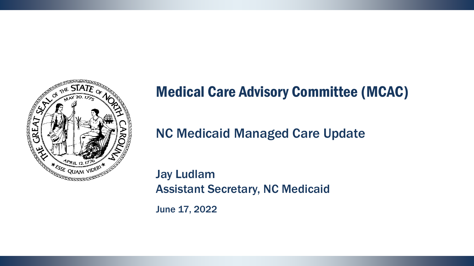

### Medical Care Advisory Committee (MCAC)

### NC Medicaid Managed Care Update

Jay Ludlam Assistant Secretary, NC Medicaid

June 17, 2022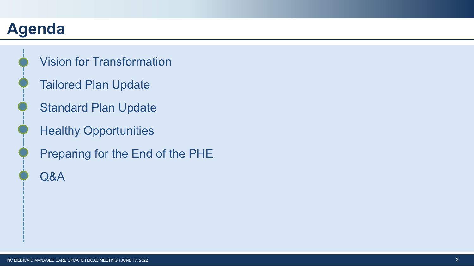# **Agenda**



- Vision for Transformation
- Tailored Plan Update
- Standard Plan Update
- Healthy Opportunities
- Preparing for the End of the PHE
- Q&A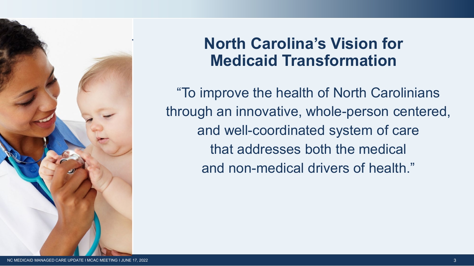

### **North Carolina's Vision for Medicaid Transformation**

"To improve the health of North Carolinians through an innovative, whole-person centered, and well-coordinated system of care that addresses both the medical and non-medical drivers of health."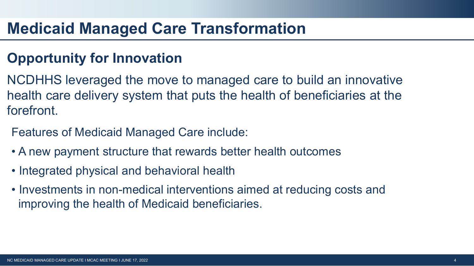### **Medicaid Managed Care Transformation**

### **Opportunity for Innovation**

- NCDHHS leveraged the move to managed care to build an innovative health care delivery system that puts the health of beneficiaries at the forefront.
- Features of Medicaid Managed Care include:
- A new payment structure that rewards better health outcomes
- Integrated physical and behavioral health
- Investments in non-medical interventions aimed at reducing costs and improving the health of Medicaid beneficiaries.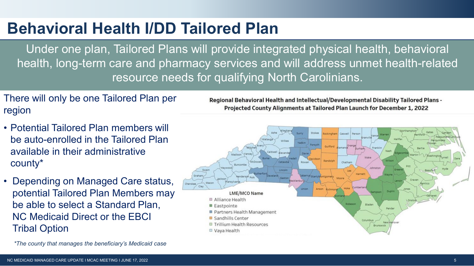## **Behavioral Health I/DD Tailored Plan**

Under one plan, Tailored Plans will provide integrated physical health, behavioral health, long-term care and pharmacy services and will address unmet health-related resource needs for qualifying North Carolinians.

There will only be one Tailored Plan per region

- Potential Tailored Plan members will be auto-enrolled in the Tailored Plan available in their administrative county\*
- Depending on Managed Care status, potential Tailored Plan Members may be able to select a Standard Plan, NC Medicaid Direct or the EBCI Tribal Option

*\*The county that manages the beneficiary's Medicaid case*

Regional Behavioral Health and Intellectual/Developmental Disability Tailored Plans -Projected County Alignments at Tailored Plan Launch for December 1, 2022

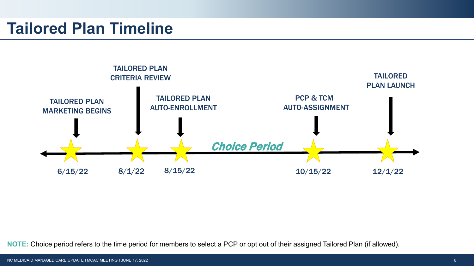### **Tailored Plan Timeline**



**NOTE:** Choice period refers to the time period for members to select a PCP or opt out of their assigned Tailored Plan (if allowed).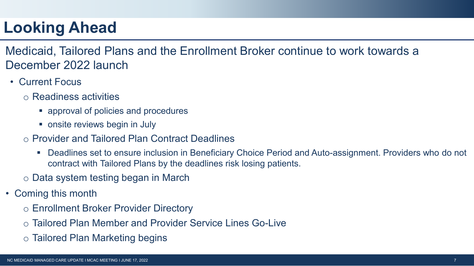# **Looking Ahead**

Medicaid, Tailored Plans and the Enrollment Broker continue to work towards a December 2022 launch

- Current Focus
	- o Readiness activities
		- approval of policies and procedures
		- onsite reviews begin in July
	- o Provider and Tailored Plan Contract Deadlines
		- Deadlines set to ensure inclusion in Beneficiary Choice Period and Auto-assignment. Providers who do not contract with Tailored Plans by the deadlines risk losing patients.
	- o Data system testing began in March
- Coming this month
	- o Enrollment Broker Provider Directory
	- o Tailored Plan Member and Provider Service Lines Go-Live
	- o Tailored Plan Marketing begins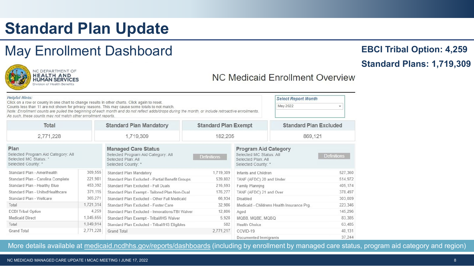# **Standard Plan Update**

### May Enrollment Dashboard



#### NC Medicaid Enrollment Overview

| <b>Helpful Hints:</b><br>Click on a row or county in one chart to change results in other charts. Click again to reset.<br>Counts less than 11 are not shown for privacy reasons. This may cause some totals to not match.<br>Note: Enrollment counts are pulled the beginning of each month and do not reflect adds/drops during the month, or include retroactive enrollments.<br>As such, these counts may not match other enrollment reports. |           |                                                                                                              |                                                      |                                                                                                    | <b>Select Report Month</b><br>May 2022 |                               |  |
|---------------------------------------------------------------------------------------------------------------------------------------------------------------------------------------------------------------------------------------------------------------------------------------------------------------------------------------------------------------------------------------------------------------------------------------------------|-----------|--------------------------------------------------------------------------------------------------------------|------------------------------------------------------|----------------------------------------------------------------------------------------------------|----------------------------------------|-------------------------------|--|
| Total<br>2,771,228<br>Plan<br>Selected Program Aid Category: All<br>Selected MC Status: *<br>Selected County: *                                                                                                                                                                                                                                                                                                                                   |           | <b>Standard Plan Mandatory</b>                                                                               |                                                      | <b>Standard Plan Exempt</b>                                                                        |                                        | <b>Standard Plan Excluded</b> |  |
|                                                                                                                                                                                                                                                                                                                                                                                                                                                   |           | 1,719,309                                                                                                    | 182,205                                              |                                                                                                    | 869,121                                |                               |  |
|                                                                                                                                                                                                                                                                                                                                                                                                                                                   |           | <b>Managed Care Status</b><br>Selected Program Aid Category: All<br>Selected Plan: All<br>Selected County: * | <b>Definitions</b>                                   | <b>Program Aid Category</b><br>Selected MC Status: All<br>Selected Plan: All<br>Selected County: * |                                        | <b>Definitions</b>            |  |
| Standard Plan - Amerihealth                                                                                                                                                                                                                                                                                                                                                                                                                       | 309,555   | Standard Plan Mandatory                                                                                      | 1,719,309                                            | Infants and Children                                                                               |                                        | 527,360                       |  |
| Standard Plan - Carolina Complete                                                                                                                                                                                                                                                                                                                                                                                                                 | 221,981   | Standard Plan Excluded - Partial Benefit Groups                                                              | 539,802                                              | TANF (AFDC) 20 and Under<br>Family Planning                                                        |                                        | 514.972                       |  |
| Standard Plan - Healthy Blue                                                                                                                                                                                                                                                                                                                                                                                                                      | 453,392   | Standard Plan Excluded - Full Duals                                                                          | 216,593                                              |                                                                                                    |                                        | 405.174                       |  |
| Standard Plan - UnitedHealthcare                                                                                                                                                                                                                                                                                                                                                                                                                  | 371,115   | 176,277<br>Standard Plan Exempt - Tailored Plan Non-Dual                                                     |                                                      | TANF (AFDC) 21 and Over                                                                            |                                        | 378.497                       |  |
| Standard Plan - Wellcare                                                                                                                                                                                                                                                                                                                                                                                                                          | 365,271   | 66.934<br>Standard Plan Excluded - Other Full Medicaid                                                       |                                                      | Disabled                                                                                           | 303.009                                |                               |  |
| Total                                                                                                                                                                                                                                                                                                                                                                                                                                             | 1,721,314 | Standard Plan Excluded - Foster Care                                                                         | 32,986<br>Medicaid - Childrens Health Insurance Prg. |                                                                                                    | 223.346                                |                               |  |
| <b>ECBI Tribal Option</b>                                                                                                                                                                                                                                                                                                                                                                                                                         | 4,259     | Standard Plan Excluded - Innovations/TBI Waiver                                                              | 12,806                                               | Aged                                                                                               |                                        | 145.296                       |  |
| <b>Medicaid Direct</b>                                                                                                                                                                                                                                                                                                                                                                                                                            | 1,045,655 | 5,928<br>Standard Plan Exempt - Tribal/IHS Waiver                                                            |                                                      | MQBB, MQBE, MQBQ                                                                                   |                                        | 83.385                        |  |
| Total                                                                                                                                                                                                                                                                                                                                                                                                                                             | 1,049,914 | 582<br>Standard Plan Excluded - Tribal/IHS Eligibles                                                         |                                                      | <b>Health Choice</b>                                                                               |                                        | 63,485                        |  |
| <b>Grand Total</b>                                                                                                                                                                                                                                                                                                                                                                                                                                | 2,771,228 | 2.771.217<br><b>Grand Total</b><br>COVID-19                                                                  |                                                      |                                                                                                    |                                        | 40.131                        |  |
|                                                                                                                                                                                                                                                                                                                                                                                                                                                   |           |                                                                                                              |                                                      | Documented Immigrants                                                                              |                                        | 37.244                        |  |

More details available at [medicaid.ncdhhs.gov/reports/dashboards](https://medicaid.ncdhhs.gov/reports/dashboards) (including by enrollment by managed care status, program aid category and region)

**EBCI Tribal Option: 4,259**

#### **Standard Plans: 1,719,309**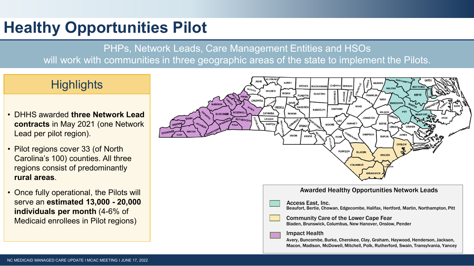# **Healthy Opportunities Pilot**

PHPs, Network Leads, Care Management Entities and HSOs will work with communities in three geographic areas of the state to implement the Pilots.

### **Highlights**

- DHHS awarded **three Network Lead contracts** in May 2021 (one Network Lead per pilot region).
- Pilot regions cover 33 (of North Carolina's 100) counties. All three regions consist of predominantly **rural areas**.
- Once fully operational, the Pilots will serve an **estimated 13,000 - 20,000 individuals per month** (4-6% of Medicaid enrollees in Pilot regions)

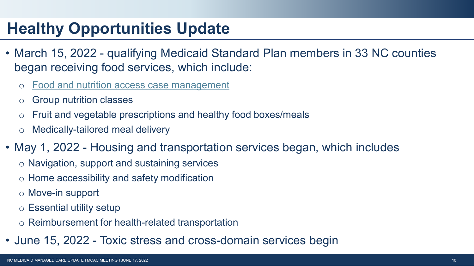# **Healthy Opportunities Update**

- March 15, 2022 qualifying Medicaid Standard Plan members in 33 NC counties began receiving food services, which include:
	- [Food and nutrition access case management](https://www.ncdhhs.gov/media/14071/download?attachment)
	- o Group nutrition classes
	- Fruit and vegetable prescriptions and healthy food boxes/meals
	- o Medically-tailored meal delivery
- May 1, 2022 Housing and transportation services began, which includes
	- o Navigation, support and sustaining services
	- o Home accessibility and safety modification
	- o Move-in support
	- o Essential utility setup
	- o Reimbursement for health-related transportation
- June 15, 2022 Toxic stress and cross-domain services begin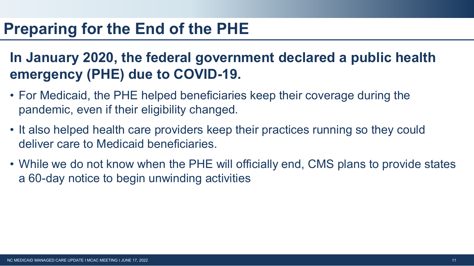### **Preparing for the End of the PHE**

### **In January 2020, the federal government declared a public health emergency (PHE) due to COVID-19.**

- For Medicaid, the PHE helped beneficiaries keep their coverage during the pandemic, even if their eligibility changed.
- It also helped health care providers keep their practices running so they could deliver care to Medicaid beneficiaries.
- While we do not know when the PHE will officially end, CMS plans to provide states a 60-day notice to begin unwinding activities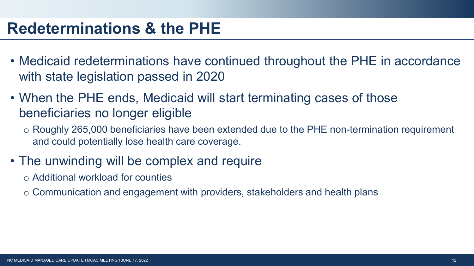### **Redeterminations & the PHE**

- Medicaid redeterminations have continued throughout the PHE in accordance with state legislation passed in 2020
- When the PHE ends, Medicaid will start terminating cases of those beneficiaries no longer eligible
	- o Roughly 265,000 beneficiaries have been extended due to the PHE non-termination requirement and could potentially lose health care coverage.
- The unwinding will be complex and require
	- o Additional workload for counties
	- o Communication and engagement with providers, stakeholders and health plans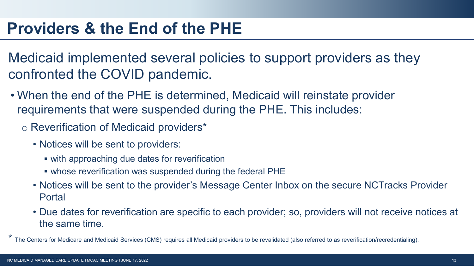Medicaid implemented several policies to support providers as they confronted the COVID pandemic.

- When the end of the PHE is determined, Medicaid will reinstate provider requirements that were suspended during the PHE. This includes:
	- o Reverification of Medicaid providers\*
		- Notices will be sent to providers:
			- with approaching due dates for reverification
			- whose reverification was suspended during the federal PHE
		- Notices will be sent to the provider's Message Center Inbox on the secure NCTracks Provider Portal
		- Due dates for reverification are specific to each provider; so, providers will not receive notices at the same time.

\* The Centers for Medicare and Medicaid Services (CMS) requires all Medicaid providers to be revalidated (also referred to as reverification/recredentialing).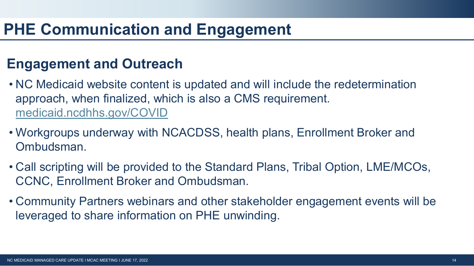### **Engagement and Outreach**

- NC Medicaid website content is updated and will include the redetermination approach, when finalized, which is also a CMS requirement. [medicaid.ncdhhs.gov/COVID](http://medicaid.ncdhhs.gov/COVID)
- Workgroups underway with NCACDSS, health plans, Enrollment Broker and Ombudsman.
- Call scripting will be provided to the Standard Plans, Tribal Option, LME/MCOs, CCNC, Enrollment Broker and Ombudsman.
- Community Partners webinars and other stakeholder engagement events will be leveraged to share information on PHE unwinding.